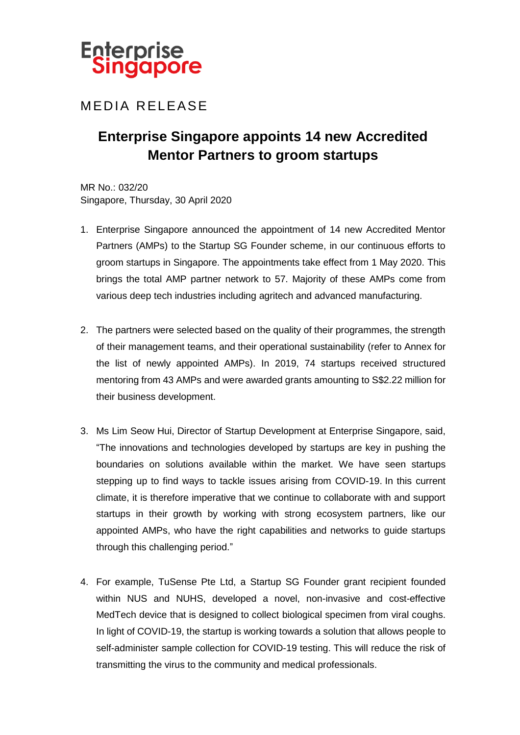

## **MEDIA RELEASE**

## **Enterprise Singapore appoints 14 new Accredited Mentor Partners to groom startups**

MR No.: 032/20 Singapore, Thursday, 30 April 2020

- 1. Enterprise Singapore announced the appointment of 14 new Accredited Mentor Partners (AMPs) to the Startup SG Founder scheme, in our continuous efforts to groom startups in Singapore. The appointments take effect from 1 May 2020. This brings the total AMP partner network to 57. Majority of these AMPs come from various deep tech industries including agritech and advanced manufacturing.
- 2. The partners were selected based on the quality of their programmes, the strength of their management teams, and their operational sustainability (refer to Annex for the list of newly appointed AMPs). In 2019, 74 startups received structured mentoring from 43 AMPs and were awarded grants amounting to S\$2.22 million for their business development.
- 3. Ms Lim Seow Hui, Director of Startup Development at Enterprise Singapore, said, "The innovations and technologies developed by startups are key in pushing the boundaries on solutions available within the market. We have seen startups stepping up to find ways to tackle issues arising from COVID-19. In this current climate, it is therefore imperative that we continue to collaborate with and support startups in their growth by working with strong ecosystem partners, like our appointed AMPs, who have the right capabilities and networks to guide startups through this challenging period."
- 4. For example, TuSense Pte Ltd, a Startup SG Founder grant recipient founded within NUS and NUHS, developed a novel, non-invasive and cost-effective MedTech device that is designed to collect biological specimen from viral coughs. In light of COVID-19, the startup is working towards a solution that allows people to self-administer sample collection for COVID-19 testing. This will reduce the risk of transmitting the virus to the community and medical professionals.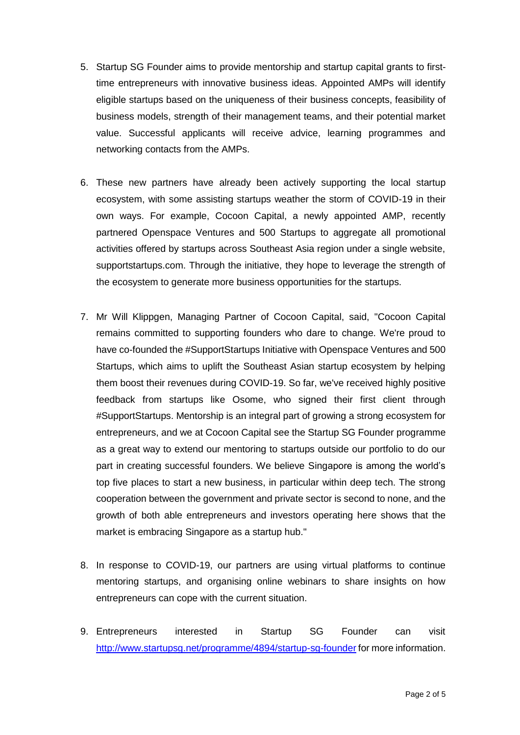- 5. Startup SG Founder aims to provide mentorship and startup capital grants to firsttime entrepreneurs with innovative business ideas. Appointed AMPs will identify eligible startups based on the uniqueness of their business concepts, feasibility of business models, strength of their management teams, and their potential market value. Successful applicants will receive advice, learning programmes and networking contacts from the AMPs.
- 6. These new partners have already been actively supporting the local startup ecosystem, with some assisting startups weather the storm of COVID-19 in their own ways. For example, Cocoon Capital, a newly appointed AMP, recently partnered Openspace Ventures and 500 Startups to aggregate all promotional activities offered by startups across Southeast Asia region under a single website, supportstartups.com. Through the initiative, they hope to leverage the strength of the ecosystem to generate more business opportunities for the startups.
- 7. Mr Will Klippgen, Managing Partner of Cocoon Capital, said, "Cocoon Capital remains committed to supporting founders who dare to change. We're proud to have co-founded the #SupportStartups Initiative with Openspace Ventures and 500 Startups, which aims to uplift the Southeast Asian startup ecosystem by helping them boost their revenues during COVID-19. So far, we've received highly positive feedback from startups like Osome, who signed their first client through #SupportStartups. Mentorship is an integral part of growing a strong ecosystem for entrepreneurs, and we at Cocoon Capital see the Startup SG Founder programme as a great way to extend our mentoring to startups outside our portfolio to do our part in creating successful founders. We believe Singapore is among the world's top five places to start a new business, in particular within deep tech. The strong cooperation between the government and private sector is second to none, and the growth of both able entrepreneurs and investors operating here shows that the market is embracing Singapore as a startup hub."
- 8. In response to COVID-19, our partners are using virtual platforms to continue mentoring startups, and organising online webinars to share insights on how entrepreneurs can cope with the current situation.
- 9. Entrepreneurs interested in Startup SG Founder can visit <http://www.startupsg.net/programme/4894/startup-sg-founder> for more information.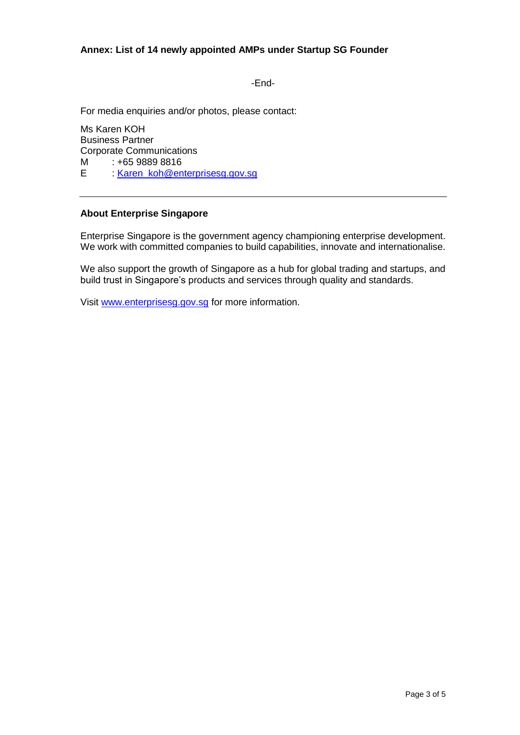-End-

For media enquiries and/or photos, please contact:

Ms Karen KOH Business Partner Corporate Communications M : +65 9889 8816 E : [Karen\\_koh@enterprisesg.gov.sg](mailto:Karen_koh@enterprisesg.gov.sg)

## **About Enterprise Singapore**

Enterprise Singapore is the government agency championing enterprise development. We work with committed companies to build capabilities, innovate and internationalise.

We also support the growth of Singapore as a hub for global trading and startups, and build trust in Singapore's products and services through quality and standards.

Visit [www.enterprisesg.gov.sg](http://www.enterprisesg.gov.sg/) for more information.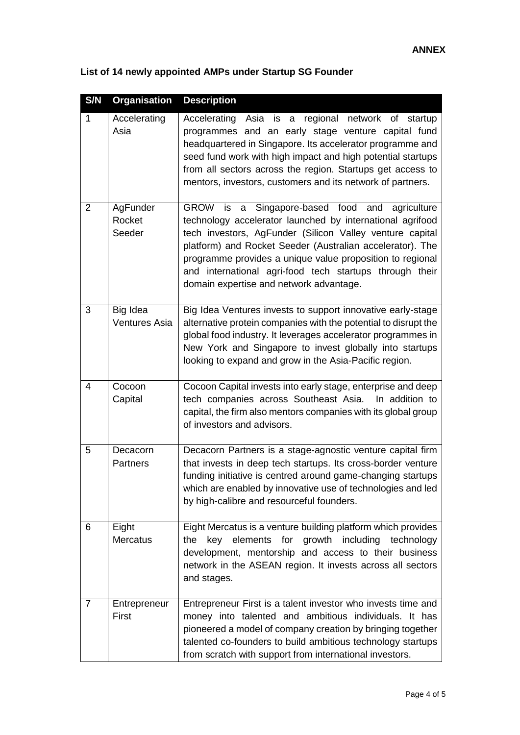| S/N            | <b>Organisation</b>              | <b>Description</b>                                                                                                                                                                                                                                                                                                                                                                                               |
|----------------|----------------------------------|------------------------------------------------------------------------------------------------------------------------------------------------------------------------------------------------------------------------------------------------------------------------------------------------------------------------------------------------------------------------------------------------------------------|
| $\mathbf{1}$   | Accelerating<br>Asia             | regional network of<br>Accelerating<br>Asia is<br>startup<br>a<br>programmes and an early stage venture capital fund<br>headquartered in Singapore. Its accelerator programme and<br>seed fund work with high impact and high potential startups<br>from all sectors across the region. Startups get access to<br>mentors, investors, customers and its network of partners.                                     |
| 2              | AgFunder<br>Rocket<br>Seeder     | Singapore-based food and<br>GROW is<br>a<br>agriculture<br>technology accelerator launched by international agrifood<br>tech investors, AgFunder (Silicon Valley venture capital<br>platform) and Rocket Seeder (Australian accelerator). The<br>programme provides a unique value proposition to regional<br>and international agri-food tech startups through their<br>domain expertise and network advantage. |
| 3              | Big Idea<br><b>Ventures Asia</b> | Big Idea Ventures invests to support innovative early-stage<br>alternative protein companies with the potential to disrupt the<br>global food industry. It leverages accelerator programmes in<br>New York and Singapore to invest globally into startups<br>looking to expand and grow in the Asia-Pacific region.                                                                                              |
| 4              | Cocoon<br>Capital                | Cocoon Capital invests into early stage, enterprise and deep<br>tech companies across Southeast Asia.<br>In addition to<br>capital, the firm also mentors companies with its global group<br>of investors and advisors.                                                                                                                                                                                          |
| 5              | Decacorn<br>Partners             | Decacorn Partners is a stage-agnostic venture capital firm<br>that invests in deep tech startups. Its cross-border venture<br>funding initiative is centred around game-changing startups<br>which are enabled by innovative use of technologies and led<br>by high-calibre and resourceful founders.                                                                                                            |
| 6              | Eight<br><b>Mercatus</b>         | Eight Mercatus is a venture building platform which provides<br>key elements for growth including technology<br>the<br>development, mentorship and access to their business<br>network in the ASEAN region. It invests across all sectors<br>and stages.                                                                                                                                                         |
| $\overline{7}$ | Entrepreneur<br>First            | Entrepreneur First is a talent investor who invests time and<br>money into talented and ambitious individuals. It has<br>pioneered a model of company creation by bringing together<br>talented co-founders to build ambitious technology startups<br>from scratch with support from international investors.                                                                                                    |

## **List of 14 newly appointed AMPs under Startup SG Founder**